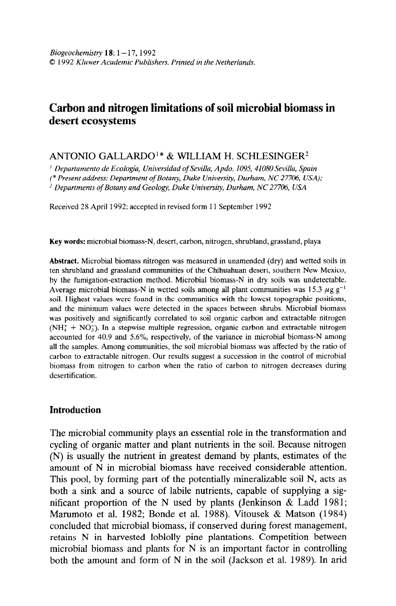## Carbon and nitrogen limitations of soil microbial biomass in desert ecosystems

## ANTONIO GALLARDO<sup>1\*</sup> & WILLIAM H. SCHLESINGER<sup>2</sup>

<sup>1</sup> Departamento de Ecología, Universidad of Sevilla, Apdo. 1095, 41080 Sevilla, Spain (\* Present address: Department of Botany, Duke University, Durham, NC 27706, USA); <sup>2</sup> Departments of Botany and Geology, Duke University, Durham, NC 27706, USA

Received 28 April 1992; accepted in revised form 11 September 1992

Key words: microbial biomass-N, desert, carbon, nitrogen, shrubland, grassland, playa

Abstract. Microbial biomass nitrogen was measured in unamended (dry) and wetted soils in ten shrubland and grassland communities of the Chihuahuan desert, southern New Mexico, by the fumigation-extraction method. Microbial biomass-N in dry soils was undetectable. Average microbial biomass-N in wetted soils among all plant communities was 15.3  $\mu$ g g<sup>-1</sup> soil. Highest values were found in the communities with the lowest topographic positions, and the measure of the minimum values were detected in the space of the space of the space of the space of the spaces of the space of the space of the space of the space of the space of the space of the space of the space and the minimum values were detected in the spaces occurent sindos, microolat oromas was positively and significantly correlated to soil organic carbon and extractable nitrogen ( $NH_{4}^{+} + NO_{3}^{-}$ ). In a stepwise multiple regression, organic carbon and extractable nitrogen  $(1914 \pm 190)$ , in a stepwise induspic regression, organic carbon and extractable intoger accounted for  $40.5$  and  $5.0$  %, respectively, of the variance in intervolar biomass is among all the samples. Among communities, the soil microbial biomass was affected by the ratio of carbon to extractable nitrogen. Our results suggest a succession in the control of microbial biomass from nitrogen to carbon when the ratio of carbon to nitrogen decreases during desertification.

## Introduction

The microbial community plays an essential role in the transformation and cycling of organic matter and plant nutrients in the soil. Because nitrogen (N) is usually the nutrient in greatest demand by plants, estimates of the amount of N in microbial biomass have received considerable attention. This pool, by forming part of the potentially mineralizable soil N, acts as both a sink and a source of labile nutrients, capable of supplying a significant proportion of the N used by plants (Jenkinson  $\&$  Ladd 1981; Marumoto et al. 1982; Bonde et al. 1988). Vitousek & Matson (1984) concluded that microbial biomass, if conserved during forest management, retains N in harvested loblolly pine plantations. Competition between microbial biomass and plants for  $N$  is an important factor in controlling both the amount and form of N in the soil (Jackson et al. 1989). In arid